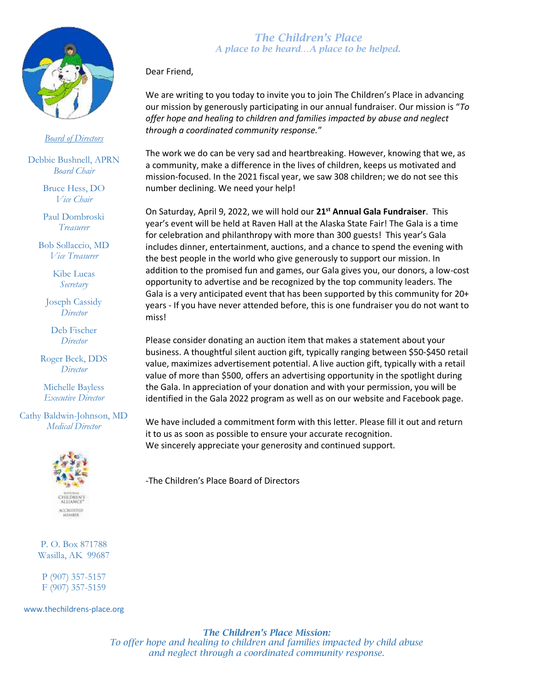

## *Board of Directors*

Debbie Bushnell, APRN *Board Chair*

> Bruce Hess, DO *Vice Chair*

> Paul Dombroski *Treasurer*

Bob Sollaccio, MD *Vice Treasurer*

> Kibe Lucas *Secretary*

Joseph Cassidy *Director*

Deb Fischer *Director*

Roger Beck, DDS *Director*

Michelle Bayless *Executive Director*

Cathy Baldwin-Johnson, MD *Medical Director*



P. O. Box 871788 Wasilla, AK 99687

P (907) 357-5157 F (907) 357-5159

www.thechildrens-place.org

## *The Children's Place A place to be heard…A place to be helped.*

Dear Friend,

We are writing to you today to invite you to join The Children's Place in advancing our mission by generously participating in our annual fundraiser. Our mission is "*To offer hope and healing to children and families impacted by abuse and neglect through a coordinated community response.*"

The work we do can be very sad and heartbreaking. However, knowing that we, as a community, make a difference in the lives of children, keeps us motivated and mission-focused. In the 2021 fiscal year, we saw 308 children; we do not see this number declining. We need your help!

On Saturday, April 9, 2022, we will hold our **21st Annual Gala Fundraiser**. This year's event will be held at Raven Hall at the Alaska State Fair! The Gala is a time for celebration and philanthropy with more than 300 guests! This year's Gala includes dinner, entertainment, auctions, and a chance to spend the evening with the best people in the world who give generously to support our mission. In addition to the promised fun and games, our Gala gives you, our donors, a low-cost opportunity to advertise and be recognized by the top community leaders. The Gala is a very anticipated event that has been supported by this community for 20+ years - If you have never attended before, this is one fundraiser you do not want to miss!

Please consider donating an auction item that makes a statement about your business. A thoughtful silent auction gift, typically ranging between \$50-\$450 retail value, maximizes advertisement potential. A live auction gift, typically with a retail value of more than \$500, offers an advertising opportunity in the spotlight during the Gala. In appreciation of your donation and with your permission, you will be identified in the Gala 2022 program as well as on our website and Facebook page.

We have included a commitment form with this letter. Please fill it out and return it to us as soon as possible to ensure your accurate recognition. We sincerely appreciate your generosity and continued support.

-The Children's Place Board of Directors